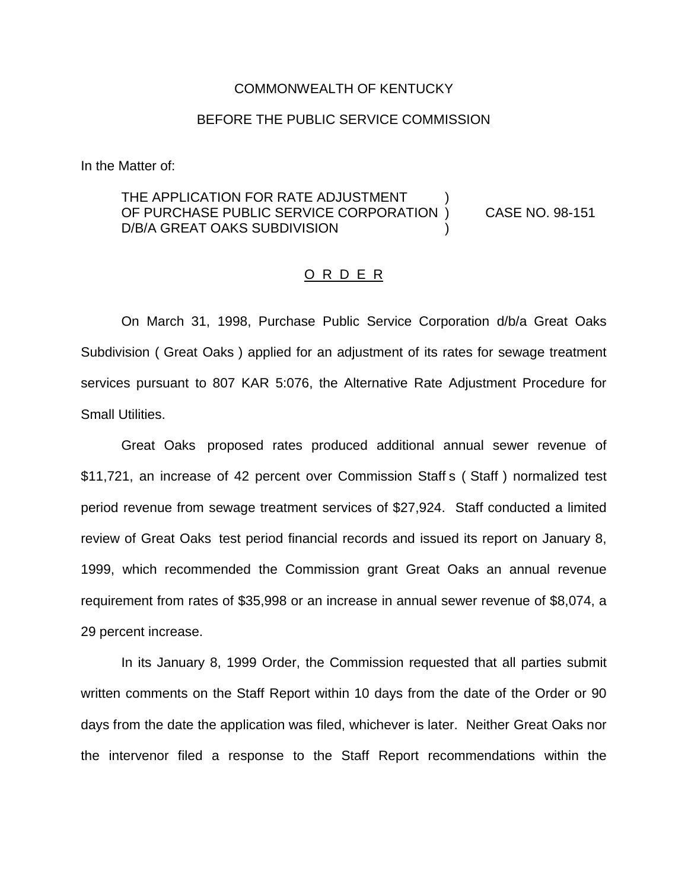#### COMMONWEALTH OF KENTUCKY

### BEFORE THE PUBLIC SERVICE COMMISSION

In the Matter of:

### THE APPLICATION FOR RATE ADJUSTMENT OF PURCHASE PUBLIC SERVICE CORPORATION ) CASE NO. 98-151 D/B/A GREAT OAKS SUBDIVISION

#### O R D E R

On March 31, 1998, Purchase Public Service Corporation d/b/a Great Oaks Subdivision ( Great Oaks ) applied for an adjustment of its rates for sewage treatment services pursuant to 807 KAR 5:076, the Alternative Rate Adjustment Procedure for Small Utilities.

Great Oaks proposed rates produced additional annual sewer revenue of \$11,721, an increase of 42 percent over Commission Staff s ( Staff ) normalized test period revenue from sewage treatment services of \$27,924. Staff conducted a limited review of Great Oaks test period financial records and issued its report on January 8, 1999, which recommended the Commission grant Great Oaks an annual revenue requirement from rates of \$35,998 or an increase in annual sewer revenue of \$8,074, a 29 percent increase.

In its January 8, 1999 Order, the Commission requested that all parties submit written comments on the Staff Report within 10 days from the date of the Order or 90 days from the date the application was filed, whichever is later. Neither Great Oaks nor the intervenor filed a response to the Staff Report recommendations within the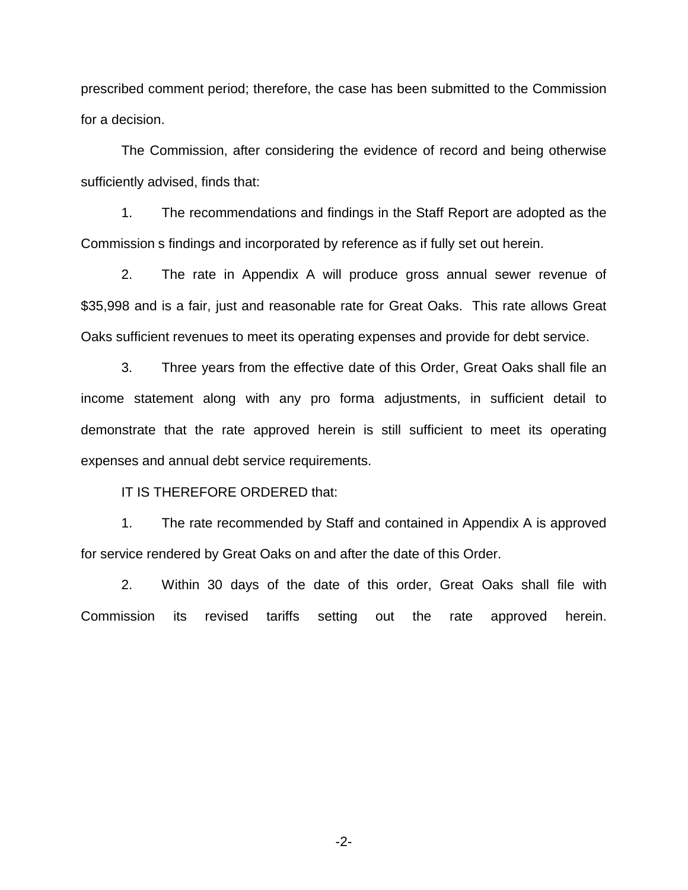prescribed comment period; therefore, the case has been submitted to the Commission for a decision.

The Commission, after considering the evidence of record and being otherwise sufficiently advised, finds that:

1. The recommendations and findings in the Staff Report are adopted as the Commission s findings and incorporated by reference as if fully set out herein.

2. The rate in Appendix A will produce gross annual sewer revenue of \$35,998 and is a fair, just and reasonable rate for Great Oaks. This rate allows Great Oaks sufficient revenues to meet its operating expenses and provide for debt service.

3. Three years from the effective date of this Order, Great Oaks shall file an income statement along with any pro forma adjustments, in sufficient detail to demonstrate that the rate approved herein is still sufficient to meet its operating expenses and annual debt service requirements.

IT IS THEREFORE ORDERED that:

1. The rate recommended by Staff and contained in Appendix A is approved for service rendered by Great Oaks on and after the date of this Order.

2. Within 30 days of the date of this order, Great Oaks shall file with Commission its revised tariffs setting out the rate approved herein.

-2-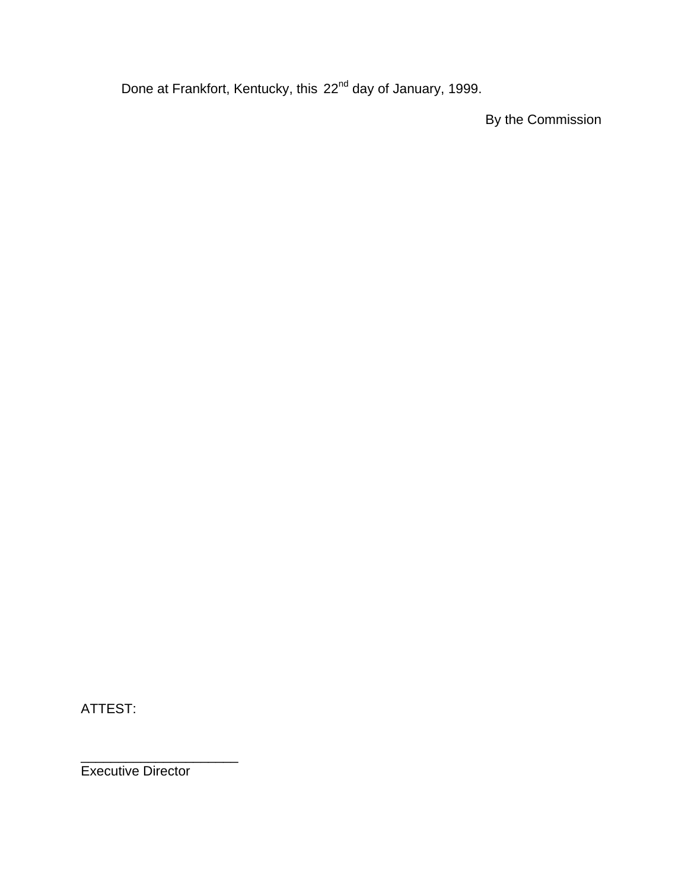Done at Frankfort, Kentucky, this 22<sup>nd</sup> day of January, 1999.

By the Commission

ATTEST:

\_\_\_\_\_\_\_\_\_\_\_\_\_\_\_\_\_\_\_\_\_ Executive Director